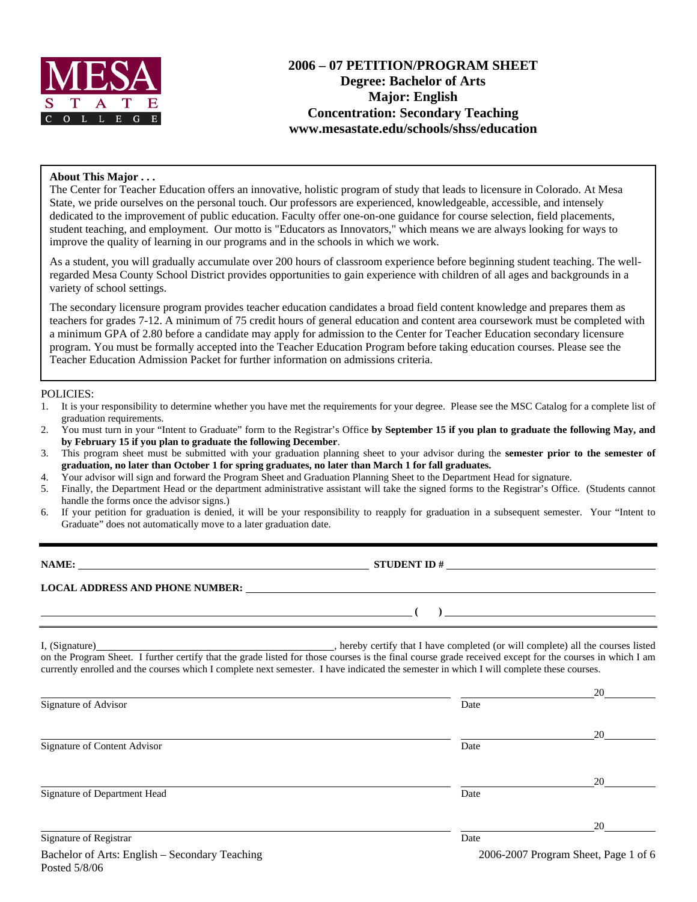

# **2006 – 07 PETITION/PROGRAM SHEET Degree: Bachelor of Arts Major: English Concentration: Secondary Teaching www.mesastate.edu/schools/shss/education**

### **About This Major . . .**

The Center for Teacher Education offers an innovative, holistic program of study that leads to licensure in Colorado. At Mesa State, we pride ourselves on the personal touch. Our professors are experienced, knowledgeable, accessible, and intensely dedicated to the improvement of public education. Faculty offer one-on-one guidance for course selection, field placements, student teaching, and employment. Our motto is "Educators as Innovators," which means we are always looking for ways to improve the quality of learning in our programs and in the schools in which we work.

As a student, you will gradually accumulate over 200 hours of classroom experience before beginning student teaching. The wellregarded Mesa County School District provides opportunities to gain experience with children of all ages and backgrounds in a variety of school settings.

The secondary licensure program provides teacher education candidates a broad field content knowledge and prepares them as teachers for grades 7-12. A minimum of 75 credit hours of general education and content area coursework must be completed with a minimum GPA of 2.80 before a candidate may apply for admission to the Center for Teacher Education secondary licensure program. You must be formally accepted into the Teacher Education Program before taking education courses. Please see the Teacher Education Admission Packet for further information on admissions criteria.

#### POLICIES:

- 1. It is your responsibility to determine whether you have met the requirements for your degree. Please see the MSC Catalog for a complete list of graduation requirements.
- 2. You must turn in your "Intent to Graduate" form to the Registrar's Office **by September 15 if you plan to graduate the following May, and by February 15 if you plan to graduate the following December**.
- 3. This program sheet must be submitted with your graduation planning sheet to your advisor during the **semester prior to the semester of graduation, no later than October 1 for spring graduates, no later than March 1 for fall graduates.**
- 4. Your advisor will sign and forward the Program Sheet and Graduation Planning Sheet to the Department Head for signature.
- 5. Finally, the Department Head or the department administrative assistant will take the signed forms to the Registrar's Office. (Students cannot handle the forms once the advisor signs.)
- 6. If your petition for graduation is denied, it will be your responsibility to reapply for graduation in a subsequent semester. Your "Intent to Graduate" does not automatically move to a later graduation date.

**STUDENT ID #** 

 **( )** 

**LOCAL ADDRESS AND PHONE NUMBER:**

Posted 5/8/06

I, (Signature) , hereby certify that I have completed (or will complete) all the courses listed on the Program Sheet. I further certify that the grade listed for those courses is the final course grade received except for the courses in which I am currently enrolled and the courses which I complete next semester. I have indicated the semester in which I will complete these courses.

|                                                |      | 20                                   |
|------------------------------------------------|------|--------------------------------------|
| Signature of Advisor                           | Date |                                      |
|                                                |      | 20                                   |
| Signature of Content Advisor                   | Date |                                      |
|                                                |      | 20                                   |
| Signature of Department Head                   | Date |                                      |
|                                                |      | 20                                   |
| Signature of Registrar                         | Date |                                      |
| Bachelor of Arts: English - Secondary Teaching |      | 2006-2007 Program Sheet, Page 1 of 6 |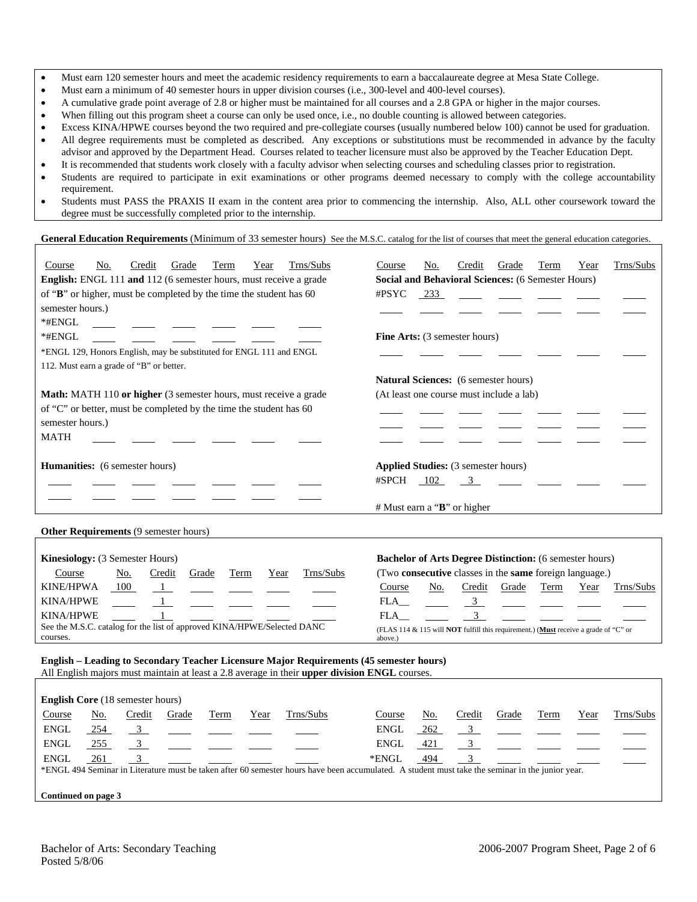- Must earn 120 semester hours and meet the academic residency requirements to earn a baccalaureate degree at Mesa State College.
- Must earn a minimum of 40 semester hours in upper division courses (i.e., 300-level and 400-level courses).
- A cumulative grade point average of 2.8 or higher must be maintained for all courses and a 2.8 GPA or higher in the major courses.
- When filling out this program sheet a course can only be used once, i.e., no double counting is allowed between categories.
- Excess KINA/HPWE courses beyond the two required and pre-collegiate courses (usually numbered below 100) cannot be used for graduation.
- All degree requirements must be completed as described. Any exceptions or substitutions must be recommended in advance by the faculty advisor and approved by the Department Head. Courses related to teacher licensure must also be approved by the Teacher Education Dept.
- It is recommended that students work closely with a faculty advisor when selecting courses and scheduling classes prior to registration.
- Students are required to participate in exit examinations or other programs deemed necessary to comply with the college accountability requirement.
- Students must PASS the PRAXIS II exam in the content area prior to commencing the internship. Also, ALL other coursework toward the degree must be successfully completed prior to the internship.

#### **General Education Requirements** (Minimum of 33 semester hours) See the M.S.C. catalog for the list of courses that meet the general education categories.

| Trns/Subs<br>No.<br>Credit<br>Grade<br>Term<br>Year<br>Course<br><b>English:</b> ENGL 111 and 112 (6 semester hours, must receive a grade | Trns/Subs<br>Year<br>No.<br>Credit<br>Grade<br>Term<br>Course<br><b>Social and Behavioral Sciences:</b> (6 Semester Hours) |  |  |  |  |  |  |
|-------------------------------------------------------------------------------------------------------------------------------------------|----------------------------------------------------------------------------------------------------------------------------|--|--|--|--|--|--|
| of "B" or higher, must be completed by the time the student has 60                                                                        | $\#$ PSYC<br>233                                                                                                           |  |  |  |  |  |  |
| semester hours.)                                                                                                                          |                                                                                                                            |  |  |  |  |  |  |
|                                                                                                                                           |                                                                                                                            |  |  |  |  |  |  |
| $*$ #ENGL                                                                                                                                 |                                                                                                                            |  |  |  |  |  |  |
| $*$ #ENGL                                                                                                                                 | <b>Fine Arts:</b> (3 semester hours)                                                                                       |  |  |  |  |  |  |
| *ENGL 129, Honors English, may be substituted for ENGL 111 and ENGL                                                                       |                                                                                                                            |  |  |  |  |  |  |
| 112. Must earn a grade of "B" or better.                                                                                                  |                                                                                                                            |  |  |  |  |  |  |
|                                                                                                                                           | <b>Natural Sciences:</b> (6 semester hours)                                                                                |  |  |  |  |  |  |
| <b>Math:</b> MATH 110 or higher (3 semester hours, must receive a grade                                                                   | (At least one course must include a lab)                                                                                   |  |  |  |  |  |  |
| of "C" or better, must be completed by the time the student has 60                                                                        |                                                                                                                            |  |  |  |  |  |  |
| semester hours.)                                                                                                                          |                                                                                                                            |  |  |  |  |  |  |
| <b>MATH</b>                                                                                                                               |                                                                                                                            |  |  |  |  |  |  |
|                                                                                                                                           |                                                                                                                            |  |  |  |  |  |  |
| <b>Humanities:</b> (6 semester hours)                                                                                                     | <b>Applied Studies:</b> (3 semester hours)                                                                                 |  |  |  |  |  |  |
|                                                                                                                                           | #SPCH<br>102<br>$\overline{\mathbf{3}}$                                                                                    |  |  |  |  |  |  |
|                                                                                                                                           |                                                                                                                            |  |  |  |  |  |  |
|                                                                                                                                           | # Must earn a "B" or higher                                                                                                |  |  |  |  |  |  |
|                                                                                                                                           |                                                                                                                            |  |  |  |  |  |  |
| <b>Other Requirements (9 semester hours)</b>                                                                                              |                                                                                                                            |  |  |  |  |  |  |
|                                                                                                                                           |                                                                                                                            |  |  |  |  |  |  |
| <b>Kinesiology:</b> (3 Semester Hours)                                                                                                    | <b>Bachelor of Arts Degree Distinction:</b> (6 semester hours)                                                             |  |  |  |  |  |  |
| Trns/Subs<br>Course<br>Grade<br>No.<br>Credit<br>Term<br>Year                                                                             | (Two consecutive classes in the same foreign language.)                                                                    |  |  |  |  |  |  |
| 100<br><b>KINE/HPWA</b>                                                                                                                   | Grade<br>Term<br>Trns/Subs<br>Course<br>No.<br>Credit<br>Year                                                              |  |  |  |  |  |  |

KINA/HPWE 1 FLA KINA/HPWE 1 FLA 3 See the M.S.C. catalog for the list of approved KINA/HPWE/Selected DANC See the M.S.C. catalog for the list of approved KINA/HPWE/Selected DANC (FLAS 114 & 115 will **NOT** fulfill this requirement.) (Must receive a grade of "C" or courses. above.)

# **English – Leading to Secondary Teacher Licensure Major Requirements (45 semester hours)**

|                     | All English majors must maintain at least a 2.8 average in their upper division ENGL courses. |                                         |                                                                |      |      |                                                                                                                                                  |             |     |        |                |      |      |           |
|---------------------|-----------------------------------------------------------------------------------------------|-----------------------------------------|----------------------------------------------------------------|------|------|--------------------------------------------------------------------------------------------------------------------------------------------------|-------------|-----|--------|----------------|------|------|-----------|
|                     |                                                                                               |                                         |                                                                |      |      |                                                                                                                                                  |             |     |        |                |      |      |           |
|                     |                                                                                               | <b>English Core</b> (18 semester hours) |                                                                |      |      |                                                                                                                                                  |             |     |        |                |      |      |           |
| Course              | No.                                                                                           | Credit                                  | Grade                                                          | Term | Year | Trns/Subs                                                                                                                                        | Course      | No. | Credit | Grade          | Term | Year | Trns/Subs |
| <b>ENGL</b>         | 254                                                                                           |                                         | $\frac{3}{\sqrt{2}}$ $\frac{1}{\sqrt{2}}$ $\frac{1}{\sqrt{2}}$ |      |      |                                                                                                                                                  | <b>ENGL</b> | 262 |        | $\overline{3}$ |      |      |           |
| <b>ENGL</b>         | 255                                                                                           |                                         |                                                                |      |      |                                                                                                                                                  | ENGL        | 421 |        | $\overline{3}$ |      |      |           |
| <b>ENGL</b>         | 261                                                                                           |                                         |                                                                |      |      |                                                                                                                                                  | *ENGL       | 494 |        |                |      |      |           |
|                     |                                                                                               |                                         |                                                                |      |      | *ENGL 494 Seminar in Literature must be taken after 60 semester hours have been accumulated. A student must take the seminar in the junior year. |             |     |        |                |      |      |           |
|                     |                                                                                               |                                         |                                                                |      |      |                                                                                                                                                  |             |     |        |                |      |      |           |
| Continued on page 3 |                                                                                               |                                         |                                                                |      |      |                                                                                                                                                  |             |     |        |                |      |      |           |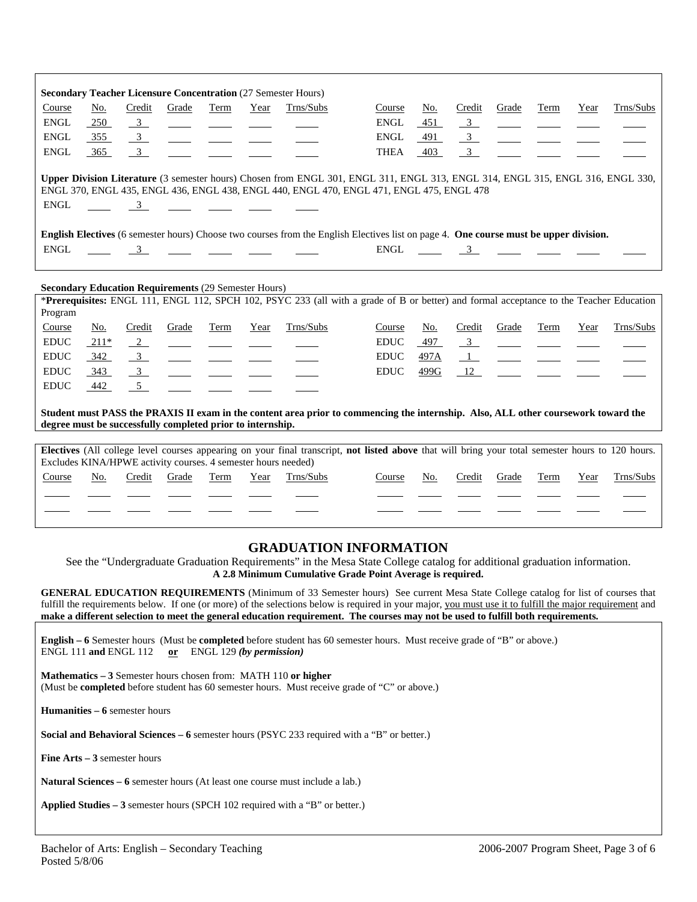|             |        |                         |                                                                                     |                                                                                                                                                                                                                                                                                                                                                                                                                                                |      | <b>Secondary Teacher Licensure Concentration (27 Semester Hours)</b>                                                   |                                                                                                                                                                                                                            |      |                         |                          |             |      |           |
|-------------|--------|-------------------------|-------------------------------------------------------------------------------------|------------------------------------------------------------------------------------------------------------------------------------------------------------------------------------------------------------------------------------------------------------------------------------------------------------------------------------------------------------------------------------------------------------------------------------------------|------|------------------------------------------------------------------------------------------------------------------------|----------------------------------------------------------------------------------------------------------------------------------------------------------------------------------------------------------------------------|------|-------------------------|--------------------------|-------------|------|-----------|
| Course      | No.    | Credit                  | Grade                                                                               | Term                                                                                                                                                                                                                                                                                                                                                                                                                                           | Year | Trns/Subs                                                                                                              | Course                                                                                                                                                                                                                     | No.  | Credit                  | Grade                    | <b>Term</b> | Year | Trns/Subs |
| <b>ENGL</b> | 250    | $\overline{3}$          |                                                                                     | <u>and the state of the state of the state of the state of the state of the state of the state of the state of the state of the state of the state of the state of the state of the state of the state of the state of the state</u>                                                                                                                                                                                                           |      |                                                                                                                        | <b>ENGL</b>                                                                                                                                                                                                                | 451  | 3                       | $\frac{1}{2}$            |             |      |           |
| <b>ENGL</b> | 355    | $\frac{3}{2}$           |                                                                                     |                                                                                                                                                                                                                                                                                                                                                                                                                                                |      |                                                                                                                        | ENGL                                                                                                                                                                                                                       | 491  | $\frac{3}{2}$           | $\overline{\phantom{a}}$ |             |      |           |
| <b>ENGL</b> | 365    | $\overline{3}$          |                                                                                     |                                                                                                                                                                                                                                                                                                                                                                                                                                                |      |                                                                                                                        | <b>THEA</b>                                                                                                                                                                                                                | 403  | $\overline{\mathbf{3}}$ |                          |             |      |           |
| <b>ENGL</b> |        |                         | $\frac{3}{\sqrt{2}}$ $\frac{3}{\sqrt{2}}$ $\frac{3}{\sqrt{2}}$ $\frac{3}{\sqrt{2}}$ |                                                                                                                                                                                                                                                                                                                                                                                                                                                |      |                                                                                                                        | Upper Division Literature (3 semester hours) Chosen from ENGL 301, ENGL 311, ENGL 313, ENGL 314, ENGL 315, ENGL 316, ENGL 330,<br>ENGL 370, ENGL 435, ENGL 436, ENGL 438, ENGL 440, ENGL 470, ENGL 471, ENGL 475, ENGL 478 |      |                         |                          |             |      |           |
|             |        |                         |                                                                                     |                                                                                                                                                                                                                                                                                                                                                                                                                                                |      |                                                                                                                        | English Electives (6 semester hours) Choose two courses from the English Electives list on page 4. One course must be upper division.                                                                                      |      |                         |                          |             |      |           |
| <b>ENGL</b> |        | $\overline{3}$          |                                                                                     |                                                                                                                                                                                                                                                                                                                                                                                                                                                |      | <u> 1980 - Jan James James Jan James James James James James James James James James James James James James James</u> | ENGL                                                                                                                                                                                                                       |      | $\overline{3}$          |                          |             |      |           |
|             |        |                         |                                                                                     |                                                                                                                                                                                                                                                                                                                                                                                                                                                |      |                                                                                                                        |                                                                                                                                                                                                                            |      |                         |                          |             |      |           |
|             |        |                         | <b>Secondary Education Requirements (29 Semester Hours)</b>                         |                                                                                                                                                                                                                                                                                                                                                                                                                                                |      |                                                                                                                        |                                                                                                                                                                                                                            |      |                         |                          |             |      |           |
|             |        |                         |                                                                                     |                                                                                                                                                                                                                                                                                                                                                                                                                                                |      |                                                                                                                        | *Prerequisites: ENGL 111, ENGL 112, SPCH 102, PSYC 233 (all with a grade of B or better) and formal acceptance to the Teacher Education                                                                                    |      |                         |                          |             |      |           |
| Program     |        |                         |                                                                                     |                                                                                                                                                                                                                                                                                                                                                                                                                                                |      |                                                                                                                        |                                                                                                                                                                                                                            |      |                         |                          |             |      |           |
| Course      | No.    | Credit                  | Grade                                                                               | Term                                                                                                                                                                                                                                                                                                                                                                                                                                           | Year | Trns/Subs                                                                                                              | Course                                                                                                                                                                                                                     | No.  | Credit                  | Grade                    | Term        | Year | Trns/Subs |
| <b>EDUC</b> | $211*$ | $\frac{2}{2}$           |                                                                                     |                                                                                                                                                                                                                                                                                                                                                                                                                                                |      |                                                                                                                        | <b>EDUC</b>                                                                                                                                                                                                                | 497  | 3                       |                          |             |      |           |
| <b>EDUC</b> | 342    | $\frac{3}{2}$           |                                                                                     | $\frac{1}{2} \left( \frac{1}{2} \right) = \frac{1}{2} \left( \frac{1}{2} \right) = \frac{1}{2} \left( \frac{1}{2} \right) = \frac{1}{2} \left( \frac{1}{2} \right) = \frac{1}{2} \left( \frac{1}{2} \right) = \frac{1}{2} \left( \frac{1}{2} \right) = \frac{1}{2} \left( \frac{1}{2} \right) = \frac{1}{2} \left( \frac{1}{2} \right) = \frac{1}{2} \left( \frac{1}{2} \right) = \frac{1}{2} \left( \frac{1}{2} \right) = \frac{1}{2} \left($ |      |                                                                                                                        | <b>EDUC</b>                                                                                                                                                                                                                | 497A | $\mathbf{1}$            | <u>and</u> a             |             |      |           |
| <b>EDUC</b> | 343    | $\overline{\mathbf{3}}$ |                                                                                     | $\frac{1}{2}$ and $\frac{1}{2}$ and $\frac{1}{2}$ and $\frac{1}{2}$ and $\frac{1}{2}$ and $\frac{1}{2}$                                                                                                                                                                                                                                                                                                                                        |      |                                                                                                                        | <b>EDUC</b>                                                                                                                                                                                                                | 499G | 12                      |                          |             |      |           |
| <b>EDUC</b> | $-442$ | $\frac{5}{2}$           |                                                                                     |                                                                                                                                                                                                                                                                                                                                                                                                                                                |      |                                                                                                                        |                                                                                                                                                                                                                            |      |                         |                          |             |      |           |
|             |        |                         | degree must be successfully completed prior to internship.                          |                                                                                                                                                                                                                                                                                                                                                                                                                                                |      |                                                                                                                        | Student must PASS the PRAXIS II exam in the content area prior to commencing the internship. Also, ALL other coursework toward the<br><u> 1989 - John Stone, amerikansk politiker († 1908)</u>                             |      |                         |                          |             |      |           |
|             |        |                         |                                                                                     |                                                                                                                                                                                                                                                                                                                                                                                                                                                |      |                                                                                                                        |                                                                                                                                                                                                                            |      |                         |                          |             |      |           |
|             |        |                         | Excludes KINA/HPWE activity courses. 4 semester hours needed)                       |                                                                                                                                                                                                                                                                                                                                                                                                                                                |      |                                                                                                                        | Electives (All college level courses appearing on your final transcript, not listed above that will bring your total semester hours to 120 hours.                                                                          |      |                         |                          |             |      |           |
| Course      | No.    | Credit                  | Grade                                                                               | Term                                                                                                                                                                                                                                                                                                                                                                                                                                           | Year | Trns/Subs                                                                                                              | Course                                                                                                                                                                                                                     | No.  | Credit                  | Grade                    | Term        | Year | Trns/Subs |
|             |        |                         |                                                                                     |                                                                                                                                                                                                                                                                                                                                                                                                                                                |      |                                                                                                                        |                                                                                                                                                                                                                            |      |                         |                          |             |      |           |
|             |        |                         |                                                                                     |                                                                                                                                                                                                                                                                                                                                                                                                                                                |      |                                                                                                                        |                                                                                                                                                                                                                            |      |                         |                          |             |      |           |
|             |        |                         |                                                                                     |                                                                                                                                                                                                                                                                                                                                                                                                                                                |      |                                                                                                                        |                                                                                                                                                                                                                            |      |                         |                          |             |      |           |

# **GRADUATION INFORMATION**

See the "Undergraduate Graduation Requirements" in the Mesa State College catalog for additional graduation information. **A 2.8 Minimum Cumulative Grade Point Average is required.**

**GENERAL EDUCATION REQUIREMENTS** (Minimum of 33 Semester hours) See current Mesa State College catalog for list of courses that fulfill the requirements below. If one (or more) of the selections below is required in your major, you must use it to fulfill the major requirement and **make a different selection to meet the general education requirement. The courses may not be used to fulfill both requirements.**

**English – 6** Semester hours (Must be **completed** before student has 60 semester hours. Must receive grade of "B" or above.) ENGL 111 **and** ENGL 112 **or** ENGL 129 *(by permission)*

**Mathematics – 3** Semester hours chosen from: MATH 110 **or higher** (Must be **completed** before student has 60 semester hours. Must receive grade of "C" or above.)

**Humanities – 6** semester hours

**Social and Behavioral Sciences – 6** semester hours (PSYC 233 required with a "B" or better.)

**Fine Arts – 3** semester hours

**Natural Sciences – 6** semester hours (At least one course must include a lab.)

**Applied Studies – 3** semester hours (SPCH 102 required with a "B" or better.)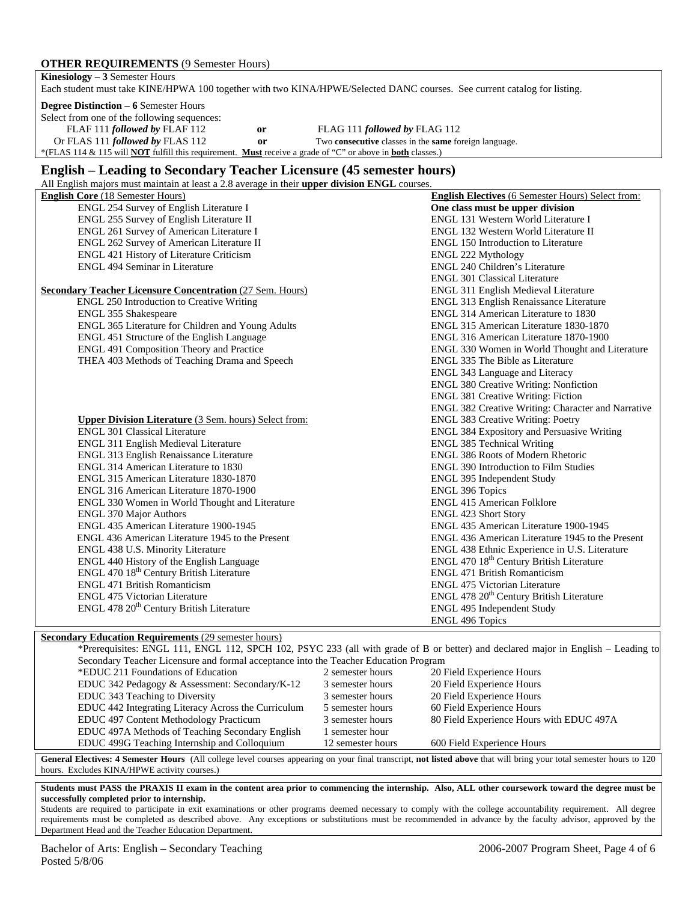### **OTHER REQUIREMENTS** (9 Semester Hours)

| <b>Kinesiology</b> $-3$ Semester Hours                                                                                          |  |                                                                     |  |  |  |  |
|---------------------------------------------------------------------------------------------------------------------------------|--|---------------------------------------------------------------------|--|--|--|--|
| Each student must take KINE/HPWA 100 together with two KINA/HPWE/Selected DANC courses. See current catalog for listing.        |  |                                                                     |  |  |  |  |
| <b>Degree Distinction – 6 Semester Hours</b>                                                                                    |  |                                                                     |  |  |  |  |
| Select from one of the following sequences:                                                                                     |  |                                                                     |  |  |  |  |
| FLAF 111 followed by FLAF 112<br>0r                                                                                             |  | FLAG 111 followed by FLAG 112                                       |  |  |  |  |
| Or FLAS 111 followed by FLAS 112<br>or                                                                                          |  | Two <b>consecutive</b> classes in the <b>same</b> foreign language. |  |  |  |  |
| *(FLAS 114 & 115 will <b>NOT</b> fulfill this requirement. <b>Must</b> receive a grade of "C" or above in <b>both</b> classes.) |  |                                                                     |  |  |  |  |
|                                                                                                                                 |  |                                                                     |  |  |  |  |

### **English – Leading to Secondary Teacher Licensure (45 semester hours)**

All English majors must maintain at least a 2.8 average in their **upper division ENGL** courses.

| An English majors must manually at least a 2.6 average in their <b>upper urvision</b> Ervoll courses. |                                                          |
|-------------------------------------------------------------------------------------------------------|----------------------------------------------------------|
| <b>English Core</b> (18 Semester Hours)                                                               | <b>English Electives</b> (6 Semester Hours) Select from: |
| ENGL 254 Survey of English Literature I                                                               | One class must be upper division                         |
| ENGL 255 Survey of English Literature II                                                              | ENGL 131 Western World Literature I                      |
| ENGL 261 Survey of American Literature I                                                              | ENGL 132 Western World Literature II                     |
| ENGL 262 Survey of American Literature II                                                             | <b>ENGL 150 Introduction to Literature</b>               |
| ENGL 421 History of Literature Criticism                                                              | ENGL 222 Mythology                                       |
| <b>ENGL 494 Seminar in Literature</b>                                                                 | ENGL 240 Children's Literature                           |
|                                                                                                       | <b>ENGL 301 Classical Literature</b>                     |
| <b>Secondary Teacher Licensure Concentration (27 Sem. Hours)</b>                                      | ENGL 311 English Medieval Literature                     |
| ENGL 250 Introduction to Creative Writing                                                             | ENGL 313 English Renaissance Literature                  |
| ENGL 355 Shakespeare                                                                                  | ENGL 314 American Literature to 1830                     |
| ENGL 365 Literature for Children and Young Adults                                                     | ENGL 315 American Literature 1830-1870                   |
| ENGL 451 Structure of the English Language                                                            | ENGL 316 American Literature 1870-1900                   |
| ENGL 491 Composition Theory and Practice                                                              | ENGL 330 Women in World Thought and Literature           |
| THEA 403 Methods of Teaching Drama and Speech                                                         | ENGL 335 The Bible as Literature                         |
|                                                                                                       | ENGL 343 Language and Literacy                           |
|                                                                                                       | <b>ENGL 380 Creative Writing: Nonfiction</b>             |
|                                                                                                       | <b>ENGL 381 Creative Writing: Fiction</b>                |
|                                                                                                       | ENGL 382 Creative Writing: Character and Narrative       |
| <b>Upper Division Literature</b> (3 Sem. hours) Select from:                                          | <b>ENGL 383 Creative Writing: Poetry</b>                 |
| <b>ENGL 301 Classical Literature</b>                                                                  | <b>ENGL 384 Expository and Persuasive Writing</b>        |
| ENGL 311 English Medieval Literature                                                                  | <b>ENGL 385 Technical Writing</b>                        |
| ENGL 313 English Renaissance Literature                                                               | ENGL 386 Roots of Modern Rhetoric                        |
| ENGL 314 American Literature to 1830                                                                  | <b>ENGL 390 Introduction to Film Studies</b>             |
| ENGL 315 American Literature 1830-1870                                                                | ENGL 395 Independent Study                               |
| ENGL 316 American Literature 1870-1900                                                                | <b>ENGL 396 Topics</b>                                   |
| ENGL 330 Women in World Thought and Literature                                                        | <b>ENGL 415 American Folklore</b>                        |
| <b>ENGL 370 Major Authors</b>                                                                         | <b>ENGL 423 Short Story</b>                              |
| ENGL 435 American Literature 1900-1945                                                                | ENGL 435 American Literature 1900-1945                   |
| ENGL 436 American Literature 1945 to the Present                                                      | ENGL 436 American Literature 1945 to the Present         |
| ENGL 438 U.S. Minority Literature                                                                     | ENGL 438 Ethnic Experience in U.S. Literature            |
| ENGL 440 History of the English Language                                                              | ENGL 470 18th Century British Literature                 |
| ENGL 470 18 <sup>th</sup> Century British Literature                                                  | ENGL 471 British Romanticism                             |
| ENGL 471 British Romanticism                                                                          | <b>ENGL 475 Victorian Literature</b>                     |
| <b>ENGL 475 Victorian Literature</b>                                                                  | ENGL 478 20 <sup>th</sup> Century British Literature     |
| ENGL 478 20 <sup>th</sup> Century British Literature                                                  | ENGL 495 Independent Study                               |
|                                                                                                       | <b>ENGL 496 Topics</b>                                   |
|                                                                                                       |                                                          |

#### **Secondary Education Requirements** (29 semester hours)

|                                                                                      |                   | *Prerequisites: ENGL 111, ENGL 112, SPCH 102, PSYC 233 (all with grade of B or better) and declared major in English – Leading to |  |  |  |  |  |  |
|--------------------------------------------------------------------------------------|-------------------|-----------------------------------------------------------------------------------------------------------------------------------|--|--|--|--|--|--|
| Secondary Teacher Licensure and formal acceptance into the Teacher Education Program |                   |                                                                                                                                   |  |  |  |  |  |  |
| *EDUC 211 Foundations of Education                                                   | 2 semester hours  | 20 Field Experience Hours                                                                                                         |  |  |  |  |  |  |
| EDUC 342 Pedagogy & Assessment: Secondary/K-12                                       | 3 semester hours  | 20 Field Experience Hours                                                                                                         |  |  |  |  |  |  |
| EDUC 343 Teaching to Diversity                                                       | 3 semester hours  | 20 Field Experience Hours                                                                                                         |  |  |  |  |  |  |
| EDUC 442 Integrating Literacy Across the Curriculum                                  | 5 semester hours  | 60 Field Experience Hours                                                                                                         |  |  |  |  |  |  |
| EDUC 497 Content Methodology Practicum                                               | 3 semester hours  | 80 Field Experience Hours with EDUC 497A                                                                                          |  |  |  |  |  |  |
| EDUC 497A Methods of Teaching Secondary English                                      | semester hour     |                                                                                                                                   |  |  |  |  |  |  |
| EDUC 499G Teaching Internship and Colloquium                                         | 12 semester hours | 600 Field Experience Hours                                                                                                        |  |  |  |  |  |  |

**General Electives: 4 Semester Hours** (All college level courses appearing on your final transcript, **not listed above** that will bring your total semester hours to 120 hours. Excludes KINA/HPWE activity courses.)

**Students must PASS the PRAXIS II exam in the content area prior to commencing the internship. Also, ALL other coursework toward the degree must be successfully completed prior to internship.** 

Students are required to participate in exit examinations or other programs deemed necessary to comply with the college accountability requirement. All degree requirements must be completed as described above. Any exceptions or substitutions must be recommended in advance by the faculty advisor, approved by the Department Head and the Teacher Education Department.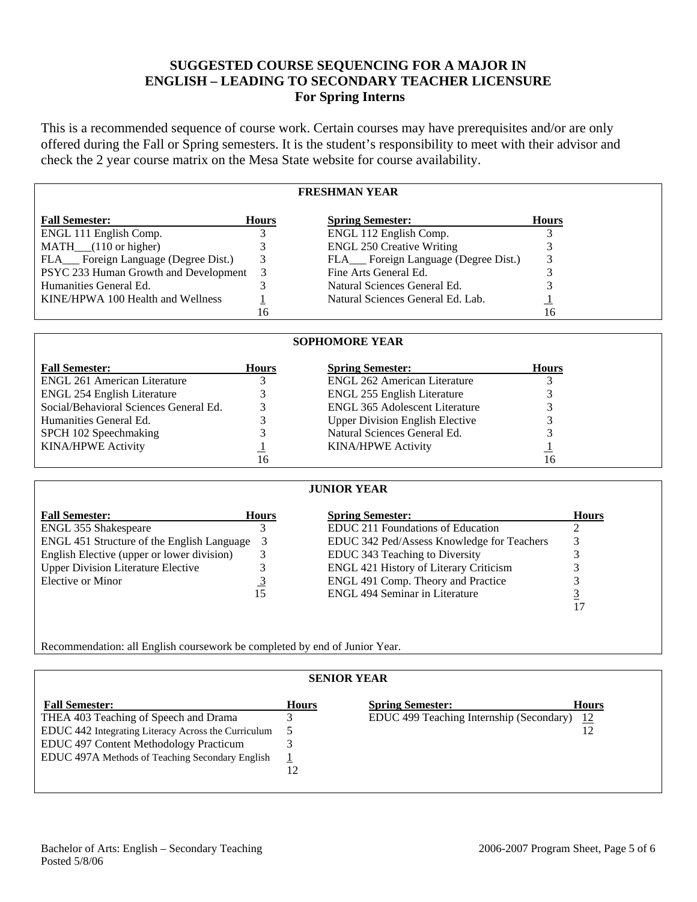# **SUGGESTED COURSE SEQUENCING FOR A MAJOR IN ENGLISH – LEADING TO SECONDARY TEACHER LICENSURE For Spring Interns**

This is a recommended sequence of course work. Certain courses may have prerequisites and/or are only offered during the Fall or Spring semesters. It is the student's responsibility to meet with their advisor and check the 2 year course matrix on the Mesa State website for course availability.

## **FRESHMAN YEAR**

| <b>Fall Semester:</b>                   | <b>Hours</b> | <b>Spring Semester:</b>             | <b>Hours</b> |
|-----------------------------------------|--------------|-------------------------------------|--------------|
| ENGL 111 English Comp.                  |              | ENGL 112 English Comp.              |              |
| $MATH$ <sub>(110</sub> or higher)       |              | <b>ENGL 250 Creative Writing</b>    |              |
| FLA__ Foreign Language (Degree Dist.)   | 3            | FLA Foreign Language (Degree Dist.) |              |
| PSYC 233 Human Growth and Development 3 |              | Fine Arts General Ed.               |              |
| Humanities General Ed.                  |              | Natural Sciences General Ed.        |              |
| KINE/HPWA 100 Health and Wellness       |              | Natural Sciences General Ed. Lab.   |              |
|                                         | 16           |                                     | 16           |

### **SOPHOMORE YEAR**

| <b>Fall Semester:</b>                  | <b>Hours</b> | <b>Spring Semester:</b>                | <b>Hours</b> |
|----------------------------------------|--------------|----------------------------------------|--------------|
| <b>ENGL 261 American Literature</b>    |              | <b>ENGL 262 American Literature</b>    |              |
| <b>ENGL 254 English Literature</b>     |              | ENGL 255 English Literature            |              |
| Social/Behavioral Sciences General Ed. |              | <b>ENGL 365 Adolescent Literature</b>  |              |
| Humanities General Ed.                 |              | <b>Upper Division English Elective</b> |              |
| SPCH 102 Speechmaking                  |              | Natural Sciences General Ed.           |              |
| <b>KINA/HPWE Activity</b>              |              | <b>KINA/HPWE Activity</b>              |              |
|                                        | 16           |                                        | 16           |

### **JUNIOR YEAR**

| <b>Fall Semester:</b>                      | <b>Hours</b> | <b>Spring Semester:</b>                       | <b>Hours</b> |
|--------------------------------------------|--------------|-----------------------------------------------|--------------|
| <b>ENGL 355 Shakespeare</b>                |              | EDUC 211 Foundations of Education             |              |
| ENGL 451 Structure of the English Language |              | EDUC 342 Ped/Assess Knowledge for Teachers    |              |
| English Elective (upper or lower division) |              | EDUC 343 Teaching to Diversity                |              |
| <b>Upper Division Literature Elective</b>  |              | <b>ENGL 421 History of Literary Criticism</b> |              |
| Elective or Minor                          |              | ENGL 491 Comp. Theory and Practice            |              |
|                                            |              | <b>ENGL 494 Seminar in Literature</b>         |              |
|                                            |              |                                               |              |

Recommendation: all English coursework be completed by end of Junior Year.

| <b>SENIOR YEAR</b>                                  |              |                                             |              |  |  |  |
|-----------------------------------------------------|--------------|---------------------------------------------|--------------|--|--|--|
| <b>Fall Semester:</b>                               | <b>Hours</b> | <b>Spring Semester:</b>                     | <b>Hours</b> |  |  |  |
| THEA 403 Teaching of Speech and Drama               |              | EDUC 499 Teaching Internship (Secondary) 12 |              |  |  |  |
| EDUC 442 Integrating Literacy Across the Curriculum |              |                                             |              |  |  |  |
| EDUC 497 Content Methodology Practicum              |              |                                             |              |  |  |  |
| EDUC 497A Methods of Teaching Secondary English     |              |                                             |              |  |  |  |
|                                                     |              |                                             |              |  |  |  |
|                                                     |              |                                             |              |  |  |  |